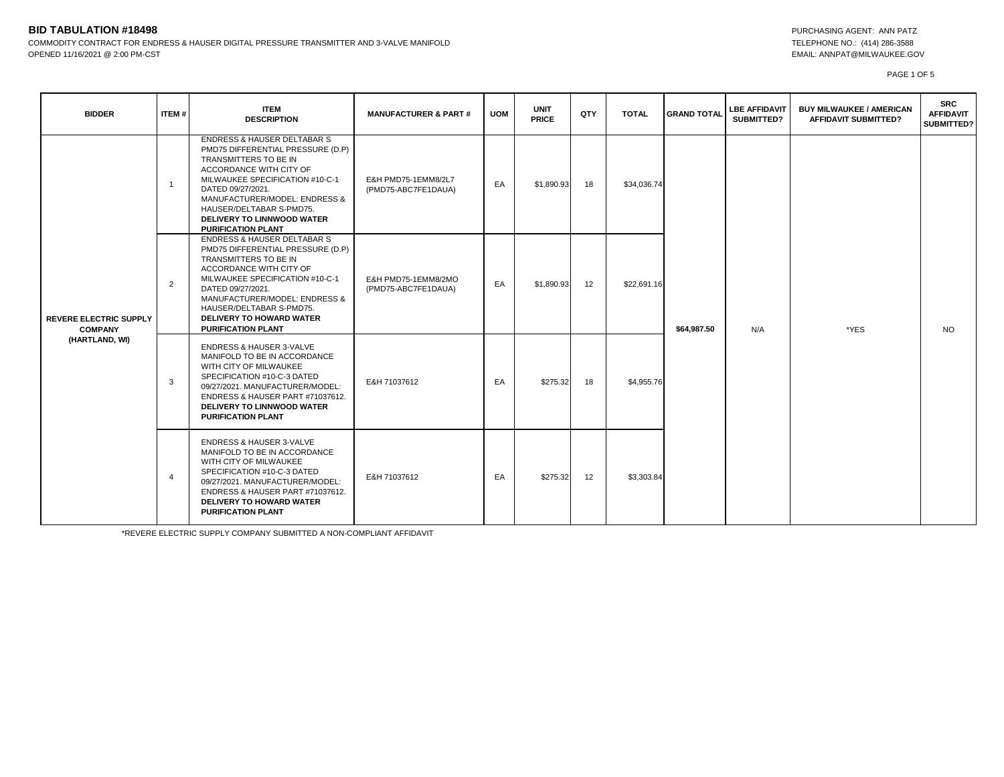# **BID TABULATION #18498** PURCHASING AGENT: ANN PATZ

COMMODITY CONTRACT FOR ENDRESS & HAUSER DIGITAL PRESSURE TRANSMITTER AND 3-VALVE MANIFOLD **TELEPHONE NO.: (414)** 286-3588 OPENED 11/16/2021 @ 2:00 PM-CST EMAIL: ANNPAT@MILWAUKEE.GOV

PAGE 1 OF 5

| <b>BIDDER</b>                                                     | ITEM#          | <b>ITEM</b><br><b>DESCRIPTION</b>                                                                                                                                                                                                                                                                                      | <b>MANUFACTURER &amp; PART #</b>           | <b>UOM</b> | <b>UNIT</b><br><b>PRICE</b> | <b>QTY</b> | <b>TOTAL</b> | <b>GRAND TOTAL</b> | <b>LBE AFFIDAVIT</b><br>SUBMITTED? | <b>BUY MILWAUKEE / AMERICAN</b><br><b>AFFIDAVIT SUBMITTED?</b> | <b>SRC</b><br><b>AFFIDAVIT</b><br>SUBMITTED? |
|-------------------------------------------------------------------|----------------|------------------------------------------------------------------------------------------------------------------------------------------------------------------------------------------------------------------------------------------------------------------------------------------------------------------------|--------------------------------------------|------------|-----------------------------|------------|--------------|--------------------|------------------------------------|----------------------------------------------------------------|----------------------------------------------|
| <b>REVERE ELECTRIC SUPPLY</b><br><b>COMPANY</b><br>(HARTLAND, WI) | $\mathbf{1}$   | <b>ENDRESS &amp; HAUSER DELTABAR S</b><br>PMD75 DIFFERENTIAL PRESSURE (D.P)<br>TRANSMITTERS TO BE IN<br>ACCORDANCE WITH CITY OF<br>MILWAUKEE SPECIFICATION #10-C-1<br>DATED 09/27/2021.<br>MANUFACTURER/MODEL: ENDRESS &<br>HAUSER/DELTABAR S-PMD75.<br><b>DELIVERY TO LINNWOOD WATER</b><br><b>PURIFICATION PLANT</b> | E&H PMD75-1EMM8/2L7<br>(PMD75-ABC7FE1DAUA) | EA         | \$1,890.93                  | 18         | \$34,036.74  | \$64,987.50        | N/A                                | *YES                                                           | NO.                                          |
|                                                                   | $\overline{2}$ | <b>ENDRESS &amp; HAUSER DELTABAR S</b><br>PMD75 DIFFERENTIAL PRESSURE (D.P)<br>TRANSMITTERS TO BE IN<br>ACCORDANCE WITH CITY OF<br>MILWAUKEE SPECIFICATION #10-C-1<br>DATED 09/27/2021.<br>MANUFACTURER/MODEL: ENDRESS &<br>HAUSER/DELTABAR S-PMD75.<br><b>DELIVERY TO HOWARD WATER</b><br><b>PURIFICATION PLANT</b>   | E&H PMD75-1EMM8/2MO<br>(PMD75-ABC7FE1DAUA) | EA         | \$1,890.93                  | 12         | \$22,691.16  |                    |                                    |                                                                |                                              |
|                                                                   | 3              | <b>ENDRESS &amp; HAUSER 3-VALVE</b><br>MANIFOLD TO BE IN ACCORDANCE<br>WITH CITY OF MILWAUKEE<br>SPECIFICATION #10-C-3 DATED<br>09/27/2021. MANUFACTURER/MODEL:<br>ENDRESS & HAUSER PART #71037612.<br>DELIVERY TO LINNWOOD WATER<br><b>PURIFICATION PLANT</b>                                                         | E&H 71037612                               | EA         | \$275.32                    | 18         | \$4,955.76   |                    |                                    |                                                                |                                              |
|                                                                   | $\overline{4}$ | <b>ENDRESS &amp; HAUSER 3-VALVE</b><br>MANIFOLD TO BE IN ACCORDANCE<br>WITH CITY OF MILWAUKEE<br>SPECIFICATION #10-C-3 DATED<br>09/27/2021. MANUFACTURER/MODEL:<br>ENDRESS & HAUSER PART #71037612.<br>DELIVERY TO HOWARD WATER<br><b>PURIFICATION PLANT</b>                                                           | E&H 71037612                               | EA         | \$275.32                    | 12         | \$3,303.84   |                    |                                    |                                                                |                                              |

\*REVERE ELECTRIC SUPPLY COMPANY SUBMITTED A NON-COMPLIANT AFFIDAVIT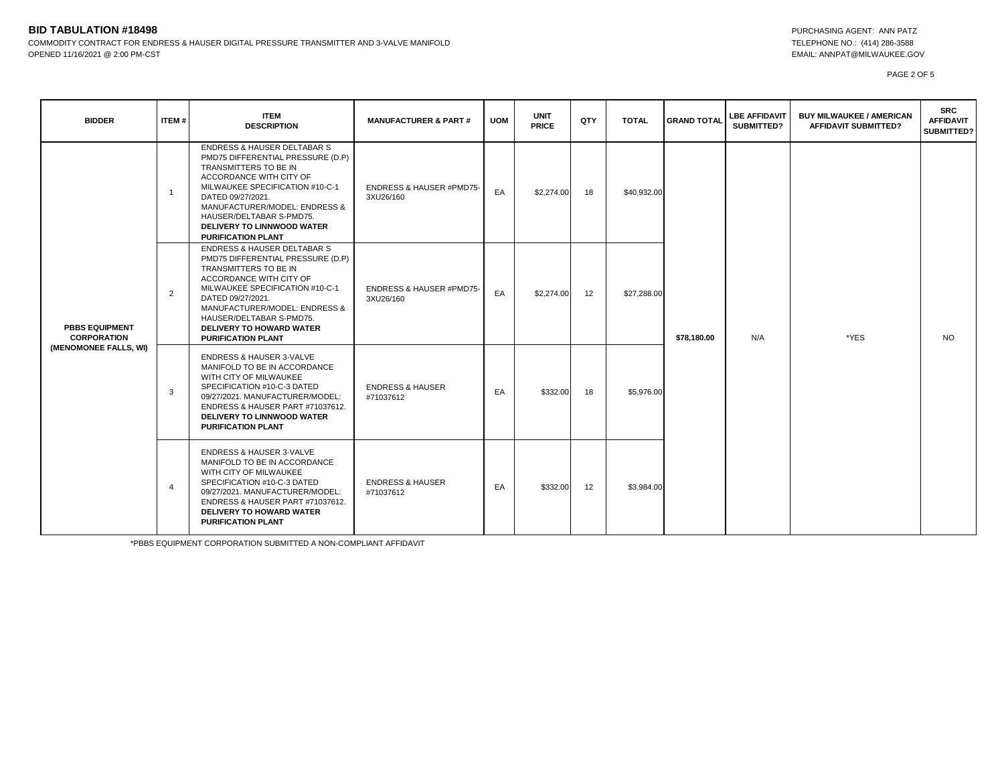## **BID TABULATION #18498** PURCHASING AGENT: ANN PATZ COMMODITY CONTRACT FOR ENDRESS & HAUSER DIGITAL PRESSURE TRANSMITTER AND 3-VALVE MANIFOLD **TELEPHONE NO.: (414)** 286-3588 OPENED 11/16/2021 @ 2:00 PM-CST EMAIL: ANNPAT@MILWAUKEE.GOV

PAGE 2 OF 5

| <b>BIDDER</b>                                                        | ITEM#          | <b>ITEM</b><br><b>DESCRIPTION</b>                                                                                                                                                                                                                                                                                    | <b>MANUFACTURER &amp; PART#</b>                  | <b>UOM</b> | <b>UNIT</b><br><b>PRICE</b> | QTY | <b>TOTAL</b> | <b>GRAND TOTAL</b> | <b>LBE AFFIDAVIT</b><br><b>SUBMITTED?</b> | <b>BUY MILWAUKEE / AMERICAN</b><br><b>AFFIDAVIT SUBMITTED?</b> | <b>SRC</b><br><b>AFFIDAVIT</b><br><b>SUBMITTED?</b> |
|----------------------------------------------------------------------|----------------|----------------------------------------------------------------------------------------------------------------------------------------------------------------------------------------------------------------------------------------------------------------------------------------------------------------------|--------------------------------------------------|------------|-----------------------------|-----|--------------|--------------------|-------------------------------------------|----------------------------------------------------------------|-----------------------------------------------------|
| <b>PBBS EQUIPMENT</b><br><b>CORPORATION</b><br>(MENOMONEE FALLS, WI) | $\overline{1}$ | <b>ENDRESS &amp; HAUSER DELTABAR S</b><br>PMD75 DIFFERENTIAL PRESSURE (D.P)<br>TRANSMITTERS TO BE IN<br>ACCORDANCE WITH CITY OF<br>MILWAUKEE SPECIFICATION #10-C-1<br>DATED 09/27/2021.<br>MANUFACTURER/MODEL: ENDRESS &<br>HAUSER/DELTABAR S-PMD75.<br>DELIVERY TO LINNWOOD WATER<br><b>PURIFICATION PLANT</b>      | <b>ENDRESS &amp; HAUSER #PMD75-</b><br>3XU26/160 | EA         | \$2,274.00                  | 18  | \$40,932.00  | \$78,180.00        | N/A                                       | *YES                                                           | <b>NO</b>                                           |
|                                                                      | 2              | <b>ENDRESS &amp; HAUSER DELTABAR S</b><br>PMD75 DIFFERENTIAL PRESSURE (D.P)<br>TRANSMITTERS TO BE IN<br>ACCORDANCE WITH CITY OF<br>MILWAUKEE SPECIFICATION #10-C-1<br>DATED 09/27/2021.<br>MANUFACTURER/MODEL: ENDRESS &<br>HAUSER/DELTABAR S-PMD75.<br><b>DELIVERY TO HOWARD WATER</b><br><b>PURIFICATION PLANT</b> | <b>ENDRESS &amp; HAUSER #PMD75-</b><br>3XU26/160 | EA         | \$2,274.00                  | 12  | \$27,288.00  |                    |                                           |                                                                |                                                     |
|                                                                      | 3              | <b>ENDRESS &amp; HAUSER 3-VALVE</b><br>MANIFOLD TO BE IN ACCORDANCE<br>WITH CITY OF MILWAUKEE<br>SPECIFICATION #10-C-3 DATED<br>09/27/2021. MANUFACTURER/MODEL:<br>ENDRESS & HAUSER PART #71037612.<br>DELIVERY TO LINNWOOD WATER<br><b>PURIFICATION PLANT</b>                                                       | <b>ENDRESS &amp; HAUSER</b><br>#71037612         | EA         | \$332.00                    | 18  | \$5,976.00   |                    |                                           |                                                                |                                                     |
|                                                                      | $\overline{4}$ | <b>ENDRESS &amp; HAUSER 3-VALVE</b><br>MANIFOLD TO BE IN ACCORDANCE<br>WITH CITY OF MILWAUKEE<br>SPECIFICATION #10-C-3 DATED<br>09/27/2021. MANUFACTURER/MODEL:<br>ENDRESS & HAUSER PART #71037612.<br><b>DELIVERY TO HOWARD WATER</b><br><b>PURIFICATION PLANT</b>                                                  | <b>ENDRESS &amp; HAUSER</b><br>#71037612         | EA         | \$332.00                    | 12  | \$3,984.00   |                    |                                           |                                                                |                                                     |

\*PBBS EQUIPMENT CORPORATION SUBMITTED A NON-COMPLIANT AFFIDAVIT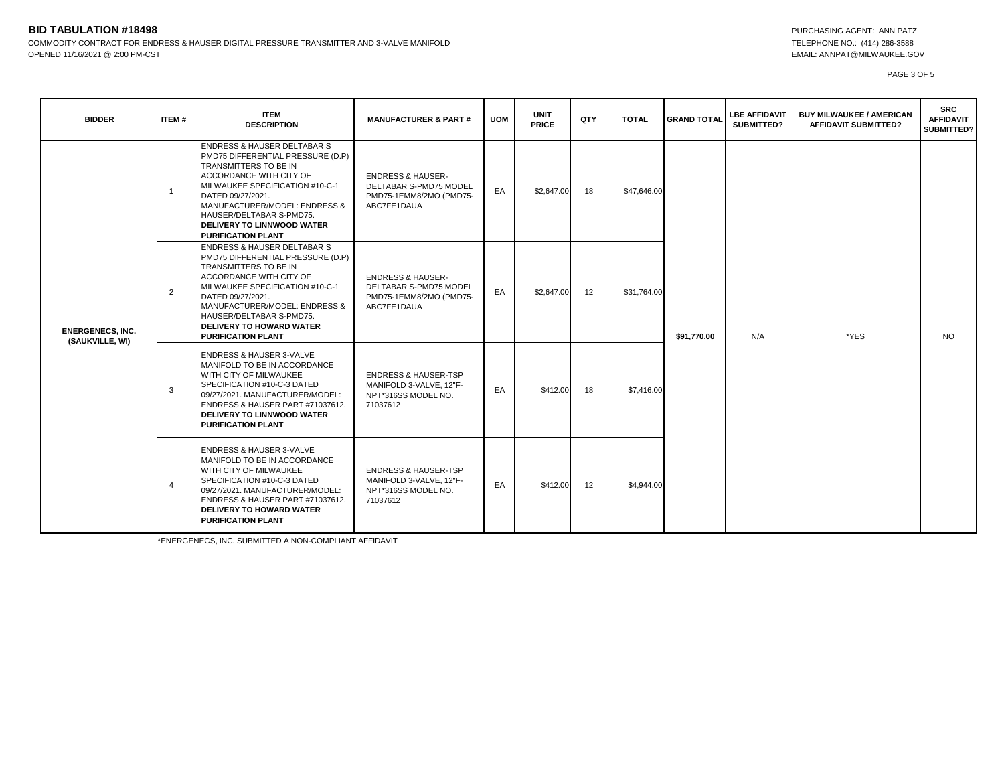## **BID TABULATION #18498** PURCHASING AGENT: ANN PATZ COMMODITY CONTRACT FOR ENDRESS & HAUSER DIGITAL PRESSURE TRANSMITTER AND 3-VALVE MANIFOLD **TELEPHONE NO.: (414)** 286-3588 OPENED 11/16/2021 @ 2:00 PM-CST EMAIL: ANNPAT@MILWAUKEE.GOV

PAGE 3 OF 5

| <b>BIDDER</b>                              | ITEM#          | <b>ITEM</b><br><b>DESCRIPTION</b>                                                                                                                                                                                                                                                                                    | <b>MANUFACTURER &amp; PART#</b>                                                                  | <b>UOM</b> | <b>UNIT</b><br><b>PRICE</b> | QTY | <b>TOTAL</b> | <b>GRAND TOTAL</b> | <b>LBE AFFIDAVIT</b><br>SUBMITTED? | <b>BUY MILWAUKEE / AMERICAN</b><br><b>AFFIDAVIT SUBMITTED?</b> | <b>SRC</b><br><b>AFFIDAVIT</b><br><b>SUBMITTED?</b> |
|--------------------------------------------|----------------|----------------------------------------------------------------------------------------------------------------------------------------------------------------------------------------------------------------------------------------------------------------------------------------------------------------------|--------------------------------------------------------------------------------------------------|------------|-----------------------------|-----|--------------|--------------------|------------------------------------|----------------------------------------------------------------|-----------------------------------------------------|
| <b>ENERGENECS, INC.</b><br>(SAUKVILLE, WI) | $\overline{1}$ | <b>ENDRESS &amp; HAUSER DELTABAR S</b><br>PMD75 DIFFERENTIAL PRESSURE (D.P)<br>TRANSMITTERS TO BE IN<br>ACCORDANCE WITH CITY OF<br>MILWAUKEE SPECIFICATION #10-C-1<br>DATED 09/27/2021.<br>MANUFACTURER/MODEL: ENDRESS &<br>HAUSER/DELTABAR S-PMD75.<br>DELIVERY TO LINNWOOD WATER<br><b>PURIFICATION PLANT</b>      | <b>ENDRESS &amp; HAUSER-</b><br>DELTABAR S-PMD75 MODEL<br>PMD75-1EMM8/2MO (PMD75-<br>ABC7FE1DAUA | EA         | \$2,647.00                  | 18  | \$47,646.00  | \$91,770.00        | N/A                                | *YES                                                           | <b>NO</b>                                           |
|                                            | $\overline{2}$ | <b>ENDRESS &amp; HAUSER DELTABAR S</b><br>PMD75 DIFFERENTIAL PRESSURE (D.P)<br>TRANSMITTERS TO BE IN<br>ACCORDANCE WITH CITY OF<br>MILWAUKEE SPECIFICATION #10-C-1<br>DATED 09/27/2021.<br>MANUFACTURER/MODEL: ENDRESS &<br>HAUSER/DELTABAR S-PMD75.<br><b>DELIVERY TO HOWARD WATER</b><br><b>PURIFICATION PLANT</b> | <b>ENDRESS &amp; HAUSER-</b><br>DELTABAR S-PMD75 MODEL<br>PMD75-1EMM8/2MO (PMD75-<br>ABC7FE1DAUA | EA         | \$2,647.00                  | 12  | \$31,764.00  |                    |                                    |                                                                |                                                     |
|                                            | 3              | <b>ENDRESS &amp; HAUSER 3-VALVE</b><br>MANIFOLD TO BE IN ACCORDANCE<br>WITH CITY OF MILWAUKEE<br>SPECIFICATION #10-C-3 DATED<br>09/27/2021. MANUFACTURER/MODEL:<br>ENDRESS & HAUSER PART #71037612.<br>DELIVERY TO LINNWOOD WATER<br><b>PURIFICATION PLANT</b>                                                       | <b>ENDRESS &amp; HAUSER-TSP</b><br>MANIFOLD 3-VALVE, 12"F-<br>NPT*316SS MODEL NO.<br>71037612    | EA         | \$412.00                    | 18  | \$7,416.00   |                    |                                    |                                                                |                                                     |
|                                            | $\overline{4}$ | <b>ENDRESS &amp; HAUSER 3-VALVE</b><br>MANIFOLD TO BE IN ACCORDANCE<br>WITH CITY OF MILWAUKEE<br>SPECIFICATION #10-C-3 DATED<br>09/27/2021. MANUFACTURER/MODEL:<br>ENDRESS & HAUSER PART #71037612.<br><b>DELIVERY TO HOWARD WATER</b><br><b>PURIFICATION PLANT</b>                                                  | <b>ENDRESS &amp; HAUSER-TSP</b><br>MANIFOLD 3-VALVE, 12"F-<br>NPT*316SS MODEL NO.<br>71037612    | EA         | \$412.00                    | 12  | \$4,944.00   |                    |                                    |                                                                |                                                     |

\*ENERGENECS, INC. SUBMITTED A NON-COMPLIANT AFFIDAVIT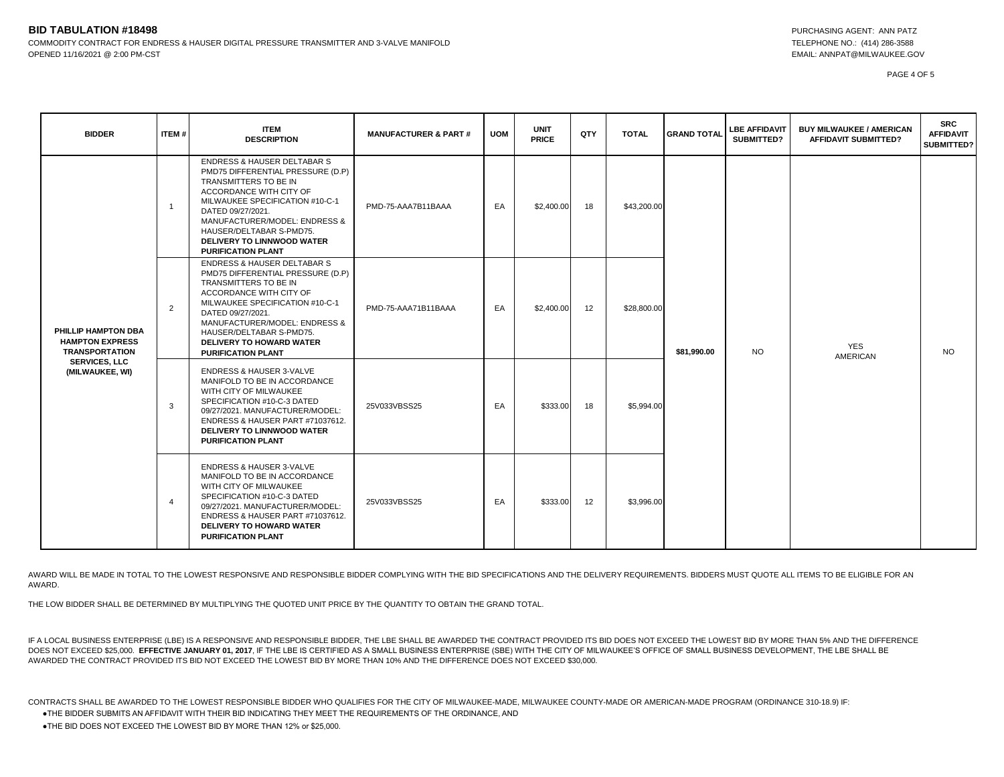#### **BID TABULATION #18498** PURCHASING AGENT: ANN PATZ COMMODITY CONTRACT FOR ENDRESS & HAUSER DIGITAL PRESSURE TRANSMITTER AND 3-VALVE MANIFOLD **TELEPHONE NO.: (414) 286-3588** OPENED 11/16/2021 @ 2:00 PM-CST EMAIL: ANNPAT@MILWAUKEE.GOV

PAGE 4 OF 5

| <b>BIDDER</b>                                                                                                     | ITEM#          | <b>ITEM</b><br><b>DESCRIPTION</b>                                                                                                                                                                                                                                                                                      | <b>MANUFACTURER &amp; PART #</b> | <b>UOM</b> | <b>UNIT</b><br><b>PRICE</b> | QTY | <b>TOTAL</b> | <b>GRAND TOTAL</b>                                                                    | <b>LBE AFFIDAVIT</b><br>SUBMITTED? | <b>BUY MILWAUKEE / AMERICAN</b><br><b>AFFIDAVIT SUBMITTED?</b> | <b>SRC</b><br><b>AFFIDAVIT</b><br>SUBMITTED? |
|-------------------------------------------------------------------------------------------------------------------|----------------|------------------------------------------------------------------------------------------------------------------------------------------------------------------------------------------------------------------------------------------------------------------------------------------------------------------------|----------------------------------|------------|-----------------------------|-----|--------------|---------------------------------------------------------------------------------------|------------------------------------|----------------------------------------------------------------|----------------------------------------------|
| PHILLIP HAMPTON DBA<br><b>HAMPTON EXPRESS</b><br><b>TRANSPORTATION</b><br><b>SERVICES, LLC</b><br>(MILWAUKEE, WI) | $\overline{1}$ | <b>ENDRESS &amp; HAUSER DELTABAR S</b><br>PMD75 DIFFERENTIAL PRESSURE (D.P)<br>TRANSMITTERS TO BE IN<br>ACCORDANCE WITH CITY OF<br>MILWAUKEE SPECIFICATION #10-C-1<br>DATED 09/27/2021.<br>MANUFACTURER/MODEL: ENDRESS &<br>HAUSER/DELTABAR S-PMD75.<br><b>DELIVERY TO LINNWOOD WATER</b><br><b>PURIFICATION PLANT</b> | PMD-75-AAA7B11BAAA               | EA         | \$2,400.00                  | 18  | \$43,200.00  | <b>YES</b><br><b>NO</b><br>\$81,990.00<br><b>AMERICAN</b><br>\$5,994.00<br>\$3,996.00 |                                    |                                                                | NO.                                          |
|                                                                                                                   | 2              | <b>ENDRESS &amp; HAUSER DELTABAR S</b><br>PMD75 DIFFERENTIAL PRESSURE (D.P)<br>TRANSMITTERS TO BE IN<br>ACCORDANCE WITH CITY OF<br>MILWAUKEE SPECIFICATION #10-C-1<br>DATED 09/27/2021.<br>MANUFACTURER/MODEL: ENDRESS &<br>HAUSER/DELTABAR S-PMD75.<br><b>DELIVERY TO HOWARD WATER</b><br><b>PURIFICATION PLANT</b>   | PMD-75-AAA71B11BAAA              | EA         | \$2,400.00                  | 12  | \$28,800.00  |                                                                                       |                                    |                                                                |                                              |
|                                                                                                                   | 3              | <b>ENDRESS &amp; HAUSER 3-VALVE</b><br>MANIFOLD TO BE IN ACCORDANCE<br>WITH CITY OF MILWAUKEE<br>SPECIFICATION #10-C-3 DATED<br>09/27/2021. MANUFACTURER/MODEL:<br>ENDRESS & HAUSER PART #71037612.<br><b>DELIVERY TO LINNWOOD WATER</b><br><b>PURIFICATION PLANT</b>                                                  | 25V033VBSS25                     | EA         | \$333.00                    | 18  |              |                                                                                       |                                    |                                                                |                                              |
|                                                                                                                   | $\overline{4}$ | <b>ENDRESS &amp; HAUSER 3-VALVE</b><br>MANIFOLD TO BE IN ACCORDANCE<br>WITH CITY OF MILWAUKEE<br>SPECIFICATION #10-C-3 DATED<br>09/27/2021. MANUFACTURER/MODEL:<br>ENDRESS & HAUSER PART #71037612.<br><b>DELIVERY TO HOWARD WATER</b><br><b>PURIFICATION PLANT</b>                                                    | 25V033VBSS25                     | EA         | \$333.00                    | 12  |              |                                                                                       |                                    |                                                                |                                              |

AWARD WILL BE MADE IN TOTAL TO THE LOWEST RESPONSIVE AND RESPONSIBLE BIDDER COMPLYING WITH THE BID SPECIFICATIONS AND THE DELIVERY REQUIREMENTS. BIDDERS MUST QUOTE ALL ITEMS TO BE ELIGIBLE FOR AN AWARD.

THE LOW BIDDER SHALL BE DETERMINED BY MULTIPLYING THE QUOTED UNIT PRICE BY THE QUANTITY TO OBTAIN THE GRAND TOTAL.

IF A LOCAL BUSINESS ENTERPRISE (LBE) IS A RESPONSIVE AND RESPONSIBLE BIDDER, THE LBE SHALL BE AWARDED THE CONTRACT PROVIDED ITS BID DOES NOT EXCEED THE LOWEST BID BY MORE THAN 5% AND THE DIFFERENCE DOES NOT EXCEED \$25,000. **EFFECTIVE JANUARY 01, 2017**, IF THE LBE IS CERTIFIED AS A SMALL BUSINESS ENTERPRISE (SBE) WITH THE CITY OF MILWAUKEE'S OFFICE OF SMALL BUSINESS DEVELOPMENT, THE LBE SHALL BE AWARDED THE CONTRACT PROVIDED ITS BID NOT EXCEED THE LOWEST BID BY MORE THAN 10% AND THE DIFFERENCE DOES NOT EXCEED \$30,000.

CONTRACTS SHALL BE AWARDED TO THE LOWEST RESPONSIBLE BIDDER WHO QUALIFIES FOR THE CITY OF MILWAUKEE-MADE, MILWAUKEE COUNTY-MADE OR AMERICAN-MADE PROGRAM (ORDINANCE 310-18.9) IF:

●THE BIDDER SUBMITS AN AFFIDAVIT WITH THEIR BID INDICATING THEY MEET THE REQUIREMENTS OF THE ORDINANCE, AND

●THE BID DOES NOT EXCEED THE LOWEST BID BY MORE THAN 12% or \$25,000.